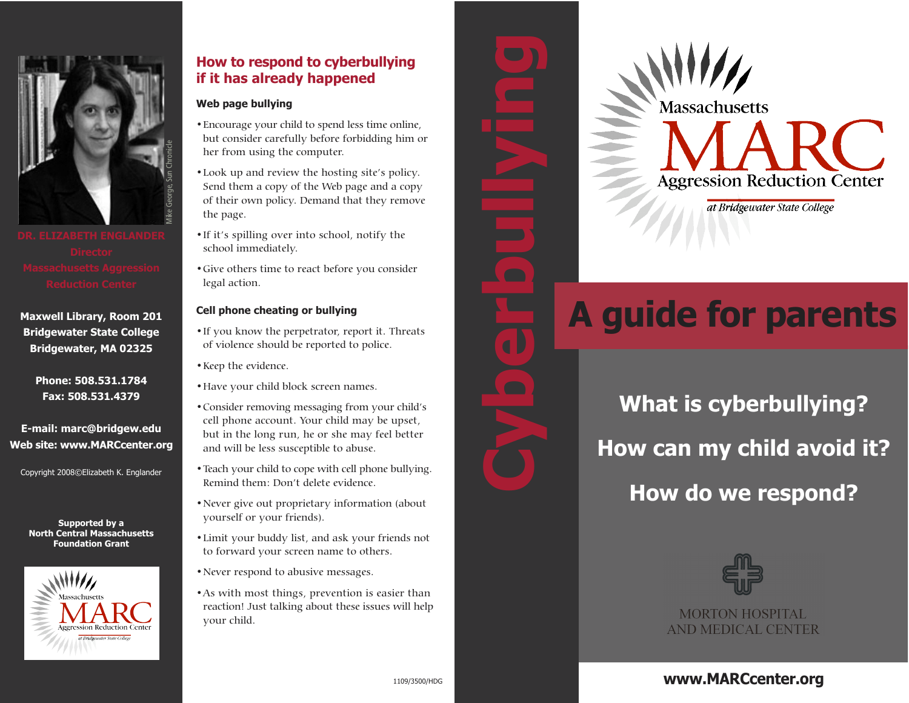

**Maxwell Library, Room 201 Bridgewater State College Bridgewater, MA 02325**

> **Phone: 508.531.1784 Fax: 508.531.4379**

**E-mail: marc@bridgew.edu Web site: www.MARCcenter.org**

Copyright 2008©Elizabeth K. Englander

**Supported by a North Central Massachusetts Foundation Grant**



# **How to respond to cyberbullying if it has already happened**

## **Web page bullying**

- •Encourage your child to spend less time online, but consider carefully before forbidding him or her from using the computer.
- •Look up and review the hosting site's policy. Send them a copy of the Web page and a copy of their own policy. Demand that they remove the page.
- •If it's spilling over into school, notify the school immediately.
- •Give others time to react before you consider legal action.

## **Cell phone cheating or bullying**

- •If you know the perpetrator, report it. Threats of violence should be reported to police.
- •Keep the evidence.
- •Have your child block screen names.
- •Consider removing messaging from your child's cell phone account. Your child may be upset, but in the long run, he or she may feel better and will be less susceptible to abuse.
- •Teach your child to cope with cell phone bullying. Remind them: Don't delete evidence.
- •Never give out proprietary information (about yourself or your friends).
- •Limit your buddy list, and ask your friends not to forward your screen name to others.
- •Never respond to abusive messages.
- •As with most things, prevention is easier than reaction! Just talking about these issues will help your child.